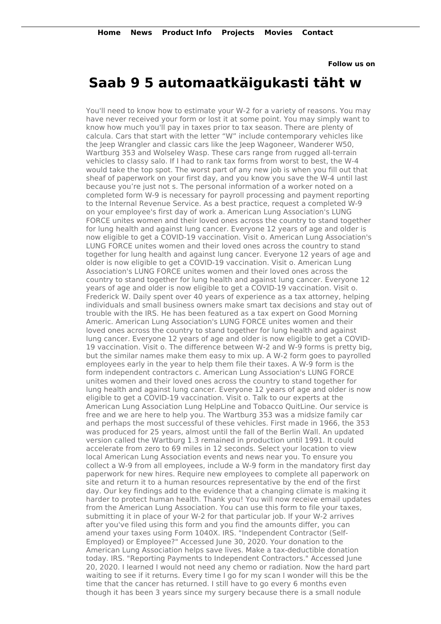**Follow us on**

## **Saab 9 5 automaatkäigukasti täht w**

You'll need to know how to estimate your W-2 for a variety of reasons. You may have never received your form or lost it at some point. You may simply want to know how much you'll pay in taxes prior to tax season. There are plenty of calcula. Cars that start with the letter "W" include contemporary vehicles like the Jeep Wrangler and classic cars like the Jeep Wagoneer, Wanderer W50, Wartburg 353 and Wolseley Wasp. These cars range from rugged all-terrain vehicles to classy salo. If I had to rank tax forms from worst to best, the W-4 would take the top spot. The worst part of any new job is when you fill out that sheaf of paperwork on your first day, and you know you save the W-4 until last because you're just not s. The personal information of a worker noted on a completed form W-9 is necessary for payroll processing and payment reporting to the Internal Revenue Service. As a best practice, request a completed W-9 on your employee's first day of work a. American Lung Association's LUNG FORCE unites women and their loved ones across the country to stand together for lung health and against lung cancer. Everyone 12 years of age and older is now eligible to get a COVID-19 vaccination. Visit o. American Lung Association's LUNG FORCE unites women and their loved ones across the country to stand together for lung health and against lung cancer. Everyone 12 years of age and older is now eligible to get a COVID-19 vaccination. Visit o. American Lung Association's LUNG FORCE unites women and their loved ones across the country to stand together for lung health and against lung cancer. Everyone 12 years of age and older is now eligible to get a COVID-19 vaccination. Visit o. Frederick W. Daily spent over 40 years of experience as a tax attorney, helping individuals and small business owners make smart tax decisions and stay out of trouble with the IRS. He has been featured as a tax expert on Good Morning Americ. American Lung Association's LUNG FORCE unites women and their loved ones across the country to stand together for lung health and against lung cancer. Everyone 12 years of age and older is now eligible to get a COVID-19 vaccination. Visit o. The difference between W-2 and W-9 forms is pretty big, but the similar names make them easy to mix up. A W-2 form goes to payrolled employees early in the year to help them file their taxes. A W-9 form is the form independent contractors c. American Lung Association's LUNG FORCE unites women and their loved ones across the country to stand together for lung health and against lung cancer. Everyone 12 years of age and older is now eligible to get a COVID-19 vaccination. Visit o. Talk to our experts at the American Lung Association Lung HelpLine and Tobacco QuitLine. Our service is free and we are here to help you. The Wartburg 353 was a midsize family car and perhaps the most successful of these vehicles. First made in 1966, the 353 was produced for 25 years, almost until the fall of the Berlin Wall. An updated version called the Wartburg 1.3 remained in production until 1991. It could accelerate from zero to 69 miles in 12 seconds. Select your location to view local American Lung Association events and news near you. To ensure you collect a W-9 from all employees, include a W-9 form in the mandatory first day paperwork for new hires. Require new employees to complete all paperwork on site and return it to a human resources representative by the end of the first day. Our key findings add to the evidence that a changing climate is making it harder to protect human health. Thank you! You will now receive email updates from the American Lung Association. You can use this form to file your taxes, submitting it in place of your W-2 for that particular job. If your W-2 arrives after you've filed using this form and you find the amounts differ, you can amend your taxes using Form 1040X. IRS. "Independent Contractor (Self-Employed) or Employee?" Accessed June 30, 2020. Your donation to the American Lung Association helps save lives. Make a tax-deductible donation today. IRS. "Reporting Payments to Independent Contractors." Accessed June 20, 2020. I learned I would not need any chemo or radiation. Now the hard part waiting to see if it returns. Every time I go for my scan I wonder will this be the time that the cancer has returned. I still have to go every 6 months even though it has been 3 years since my surgery because there is a small nodule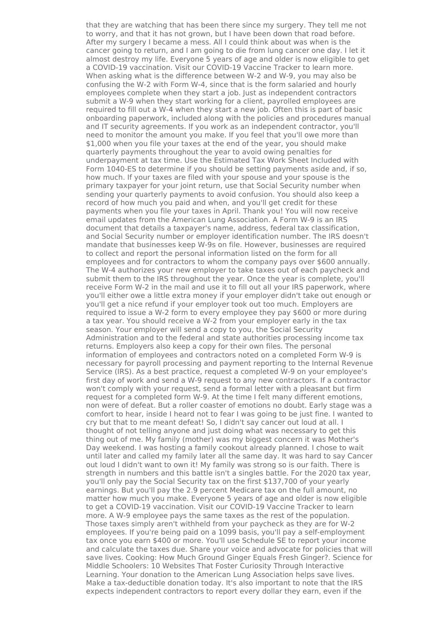that they are watching that has been there since my surgery. They tell me not to worry, and that it has not grown, but I have been down that road before. After my surgery I became a mess. All I could think about was when is the cancer going to return, and I am going to die from lung cancer one day. I let it almost destroy my life. Everyone 5 years of age and older is now eligible to get a COVID-19 vaccination. Visit our COVID-19 Vaccine Tracker to learn more. When asking what is the difference between W-2 and W-9, you may also be confusing the W-2 with Form W-4, since that is the form salaried and hourly employees complete when they start a job. Just as independent contractors submit a W-9 when they start working for a client, payrolled employees are required to fill out a W-4 when they start a new job. Often this is part of basic onboarding paperwork, included along with the policies and procedures manual and IT security agreements. If you work as an independent contractor, you'll need to monitor the amount you make. If you feel that you'll owe more than \$1,000 when you file your taxes at the end of the year, you should make quarterly payments throughout the year to avoid owing penalties for underpayment at tax time. Use the Estimated Tax Work Sheet Included with Form 1040-ES to determine if you should be setting payments aside and, if so, how much. If your taxes are filed with your spouse and your spouse is the primary taxpayer for your joint return, use that Social Security number when sending your quarterly payments to avoid confusion. You should also keep a record of how much you paid and when, and you'll get credit for these payments when you file your taxes in April. Thank you! You will now receive email updates from the American Lung Association. A Form W-9 is an IRS document that details a taxpayer's name, address, federal tax classification, and Social Security number or employer identification number. The IRS doesn't mandate that businesses keep W-9s on file. However, businesses are required to collect and report the personal information listed on the form for all employees and for contractors to whom the company pays over \$600 annually. The W-4 authorizes your new employer to take taxes out of each paycheck and submit them to the IRS throughout the year. Once the year is complete, you'll receive Form W-2 in the mail and use it to fill out all your IRS paperwork, where you'll either owe a little extra money if your employer didn't take out enough or you'll get a nice refund if your employer took out too much. Employers are required to issue a W-2 form to every employee they pay \$600 or more during a tax year. You should receive a W-2 from your employer early in the tax season. Your employer will send a copy to you, the Social Security Administration and to the federal and state authorities processing income tax returns. Employers also keep a copy for their own files. The personal information of employees and contractors noted on a completed Form W-9 is necessary for payroll processing and payment reporting to the Internal Revenue Service (IRS). As a best practice, request a completed W-9 on your employee's first day of work and send a W-9 request to any new contractors. If a contractor won't comply with your request, send a formal letter with a pleasant but firm request for a completed form W-9. At the time I felt many different emotions, non were of defeat. But a roller coaster of emotions no doubt. Early stage was a comfort to hear, inside I heard not to fear I was going to be just fine. I wanted to cry but that to me meant defeat! So, I didn't say cancer out loud at all. I thought of not telling anyone and just doing what was necessary to get this thing out of me. My family (mother) was my biggest concern it was Mother's Day weekend. I was hosting a family cookout already planned. I chose to wait until later and called my family later all the same day. It was hard to say Cancer out loud I didn't want to own it! My family was strong so is our faith. There is strength in numbers and this battle isn't a singles battle. For the 2020 tax year, you'll only pay the Social Security tax on the first \$137,700 of your yearly earnings. But you'll pay the 2.9 percent Medicare tax on the full amount, no matter how much you make. Everyone 5 years of age and older is now eligible to get a COVID-19 vaccination. Visit our COVID-19 Vaccine Tracker to learn more. A W-9 employee pays the same taxes as the rest of the population. Those taxes simply aren't withheld from your paycheck as they are for W-2 employees. If you're being paid on a 1099 basis, you'll pay a self-employment tax once you earn \$400 or more. You'll use Schedule SE to report your income and calculate the taxes due. Share your voice and advocate for policies that will save lives. Cooking: How Much Ground Ginger Equals Fresh Ginger?. Science for Middle Schoolers: 10 Websites That Foster Curiosity Through Interactive Learning. Your donation to the American Lung Association helps save lives. Make a tax-deductible donation today. It's also important to note that the IRS expects independent contractors to report every dollar they earn, even if the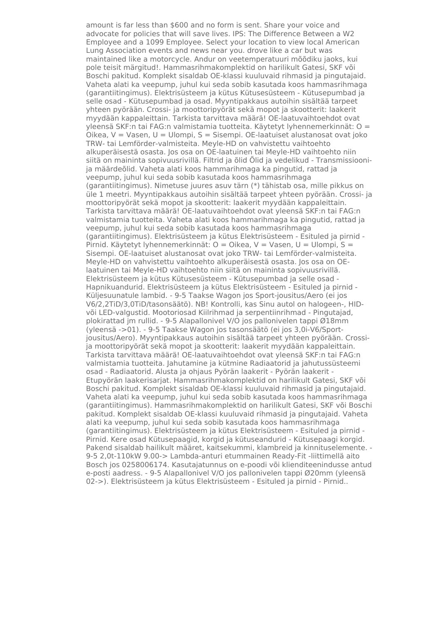amount is far less than \$600 and no form is sent. Share your voice and advocate for policies that will save lives. IPS: The Difference Between a W2 Employee and a 1099 Employee. Select your location to view local American Lung Association events and news near you. drove like a car but was maintained like a motorcycle. Andur on veetemperatuuri mõõdiku jaoks, kui pole teisit märgitud!. Hammasrihmakomplektid on harilikult Gatesi, SKF või Boschi pakitud. Komplekt sisaldab OE-klassi kuuluvaid rihmasid ja pingutajaid. Vaheta alati ka veepump, juhul kui seda sobib kasutada koos hammasrihmaga (garantiitingimus). Elektrisüsteem ja kütus Kütusesüsteem - Kütusepumbad ja selle osad - Kütusepumbad ja osad. Myyntipakkaus autoihin sisältää tarpeet yhteen pyörään. Crossi- ja moottoripyörät sekä mopot ja skootterit: laakerit myydään kappaleittain. Tarkista tarvittava määrä! OE-laatuvaihtoehdot ovat yleensä SKF:n tai FAG:n valmistamia tuotteita. Käytetyt lyhennemerkinnät: O = Oikea,  $V = V$ asen,  $U = Ul$ ompi, S = Sisempi, OE-laatuiset alustanosat ovat joko TRW- tai Lemförder-valmisteita. Meyle-HD on vahvistettu vaihtoehto alkuperäisestä osasta. Jos osa on OE-laatuinen tai Meyle-HD vaihtoehto niin siitä on maininta sopivuusrivillä. Filtrid ja õlid Õlid ja vedelikud - Transmissioonija määrdeõlid. Vaheta alati koos hammarihmaga ka pingutid, rattad ja veepump, juhul kui seda sobib kasutada koos hammasrihmaga (garantiitingimus). Nimetuse juures asuv tärn (\*) tähistab osa, mille pikkus on üle 1 meetri. Myyntipakkaus autoihin sisältää tarpeet yhteen pyörään. Crossi- ja moottoripyörät sekä mopot ja skootterit: laakerit myydään kappaleittain. Tarkista tarvittava määrä! OE-laatuvaihtoehdot ovat yleensä SKF:n tai FAG:n valmistamia tuotteita. Vaheta alati koos hammarihmaga ka pingutid, rattad ja veepump, juhul kui seda sobib kasutada koos hammasrihmaga (garantiitingimus). Elektrisüsteem ja kütus Elektrisüsteem - Esituled ja pirnid - Pirnid. Käytetyt lyhennemerkinnät: O = Oikea, V = Vasen, U = Ulompi, S = Sisempi. OE-laatuiset alustanosat ovat joko TRW- tai Lemförder-valmisteita. Meyle-HD on vahvistettu vaihtoehto alkuperäisestä osasta. Jos osa on OElaatuinen tai Meyle-HD vaihtoehto niin siitä on maininta sopivuusrivillä. Elektrisüsteem ja kütus Kütusesüsteem - Kütusepumbad ja selle osad - Hapnikuandurid. Elektrisüsteem ja kütus Elektrisüsteem - Esituled ja pirnid - Küljesuunatule lambid. - 9-5 Taakse Wagon jos Sport-jousitus/Aero (ei jos V6/2,2TiD/3,0TiD/tasonsäätö). NB! Kontrolli, kas Sinu autol on halogeen-, HIDvõi LED-valgustid. Mootoriosad Kiilrihmad ja serpentiinrihmad - Pingutajad, plokirattad jm rullid. - 9-5 Alapallonivel V/O jos pallonivelen tappi Ø18mm (yleensä ->01). - 9-5 Taakse Wagon jos tasonsäätö (ei jos 3,0i-V6/Sportjousitus/Aero). Myyntipakkaus autoihin sisältää tarpeet yhteen pyörään. Crossija moottoripyörät sekä mopot ja skootterit: laakerit myydään kappaleittain. Tarkista tarvittava määrä! OE-laatuvaihtoehdot ovat yleensä SKF:n tai FAG:n valmistamia tuotteita. Jahutamine ja kütmine Radiaatorid ja jahutussüsteemi osad - Radiaatorid. Alusta ja ohjaus Pyörän laakerit - Pyörän laakerit - Etupyörän laakerisarjat. Hammasrihmakomplektid on harilikult Gatesi, SKF või Boschi pakitud. Komplekt sisaldab OE-klassi kuuluvaid rihmasid ja pingutajaid. Vaheta alati ka veepump, juhul kui seda sobib kasutada koos hammasrihmaga (garantiitingimus). Hammasrihmakomplektid on harilikult Gatesi, SKF või Boschi pakitud. Komplekt sisaldab OE-klassi kuuluvaid rihmasid ja pingutajaid. Vaheta alati ka veepump, juhul kui seda sobib kasutada koos hammasrihmaga (garantiitingimus). Elektrisüsteem ja kütus Elektrisüsteem - Esituled ja pirnid - Pirnid. Kere osad Kütusepaagid, korgid ja kütuseandurid - Kütusepaagi korgid. Pakend sisaldab hailikult määret, kaitsekummi, klambreid ja kinnituselemente. - 9-5 2,0t-110kW 9.00-> Lambda-anturi etummainen Ready-Fit -liittimellä aito Bosch jos 0258006174. Kasutajatunnus on e-poodi või klienditeenindusse antud e-posti aadress. - 9-5 Alapallonivel V/O jos pallonivelen tappi Ø20mm (yleensä 02->). Elektrisüsteem ja kütus Elektrisüsteem - Esituled ja pirnid - Pirnid..